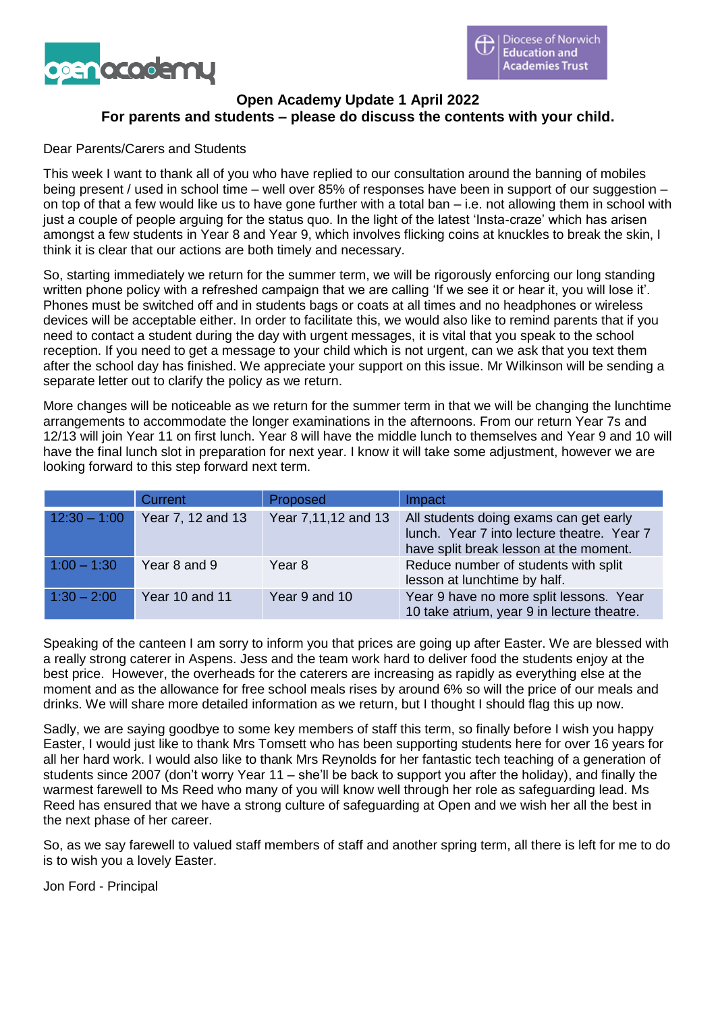

# **Open Academy Update 1 April 2022 For parents and students – please do discuss the contents with your child.**

### Dear Parents/Carers and Students

This week I want to thank all of you who have replied to our consultation around the banning of mobiles being present / used in school time – well over 85% of responses have been in support of our suggestion – on top of that a few would like us to have gone further with a total ban – i.e. not allowing them in school with just a couple of people arguing for the status quo. In the light of the latest 'Insta-craze' which has arisen amongst a few students in Year 8 and Year 9, which involves flicking coins at knuckles to break the skin, I think it is clear that our actions are both timely and necessary.

So, starting immediately we return for the summer term, we will be rigorously enforcing our long standing written phone policy with a refreshed campaign that we are calling 'If we see it or hear it, you will lose it'. Phones must be switched off and in students bags or coats at all times and no headphones or wireless devices will be acceptable either. In order to facilitate this, we would also like to remind parents that if you need to contact a student during the day with urgent messages, it is vital that you speak to the school reception. If you need to get a message to your child which is not urgent, can we ask that you text them after the school day has finished. We appreciate your support on this issue. Mr Wilkinson will be sending a separate letter out to clarify the policy as we return.

More changes will be noticeable as we return for the summer term in that we will be changing the lunchtime arrangements to accommodate the longer examinations in the afternoons. From our return Year 7s and 12/13 will join Year 11 on first lunch. Year 8 will have the middle lunch to themselves and Year 9 and 10 will have the final lunch slot in preparation for next year. I know it will take some adjustment, however we are looking forward to this step forward next term.

|                | Current           | Proposed            | Impact                                                                                                                         |
|----------------|-------------------|---------------------|--------------------------------------------------------------------------------------------------------------------------------|
| $12:30 - 1:00$ | Year 7, 12 and 13 | Year 7,11,12 and 13 | All students doing exams can get early<br>lunch. Year 7 into lecture theatre. Year 7<br>have split break lesson at the moment. |
| $1:00 - 1:30$  | Year 8 and 9      | Year 8              | Reduce number of students with split<br>lesson at lunchtime by half.                                                           |
| $1:30 - 2:00$  | Year 10 and 11    | Year 9 and 10       | Year 9 have no more split lessons. Year<br>10 take atrium, year 9 in lecture theatre.                                          |

Speaking of the canteen I am sorry to inform you that prices are going up after Easter. We are blessed with a really strong caterer in Aspens. Jess and the team work hard to deliver food the students enjoy at the best price. However, the overheads for the caterers are increasing as rapidly as everything else at the moment and as the allowance for free school meals rises by around 6% so will the price of our meals and drinks. We will share more detailed information as we return, but I thought I should flag this up now.

Sadly, we are saying goodbye to some key members of staff this term, so finally before I wish you happy Easter, I would just like to thank Mrs Tomsett who has been supporting students here for over 16 years for all her hard work. I would also like to thank Mrs Reynolds for her fantastic tech teaching of a generation of students since 2007 (don't worry Year 11 – she'll be back to support you after the holiday), and finally the warmest farewell to Ms Reed who many of you will know well through her role as safeguarding lead. Ms Reed has ensured that we have a strong culture of safeguarding at Open and we wish her all the best in the next phase of her career.

So, as we say farewell to valued staff members of staff and another spring term, all there is left for me to do is to wish you a lovely Easter.

Jon Ford - Principal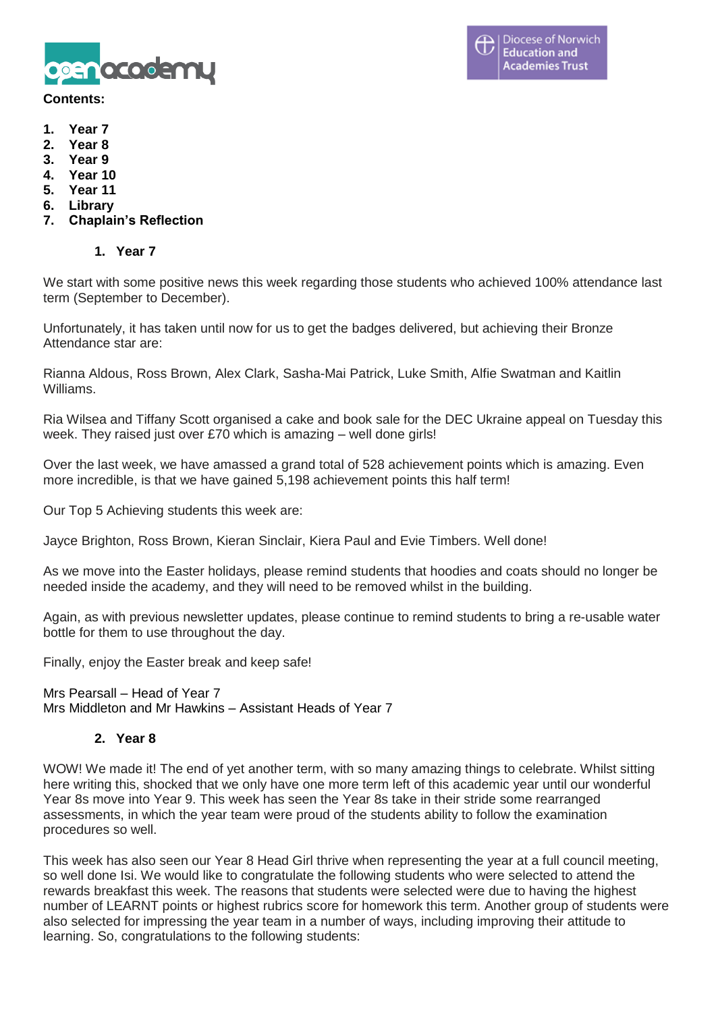

#### **Contents:**

- **1. Year 7**
- **2. Year 8**
- **3. Year 9**
- **4. Year 10**
- **5. Year 11**
- **6. Library**
- **7. Chaplain's Reflection**

## **1. Year 7**

We start with some positive news this week regarding those students who achieved 100% attendance last term (September to December).

Unfortunately, it has taken until now for us to get the badges delivered, but achieving their Bronze Attendance star are:

Rianna Aldous, Ross Brown, Alex Clark, Sasha-Mai Patrick, Luke Smith, Alfie Swatman and Kaitlin Williams.

Ria Wilsea and Tiffany Scott organised a cake and book sale for the DEC Ukraine appeal on Tuesday this week. They raised just over £70 which is amazing – well done girls!

Over the last week, we have amassed a grand total of 528 achievement points which is amazing. Even more incredible, is that we have gained 5,198 achievement points this half term!

Our Top 5 Achieving students this week are:

Jayce Brighton, Ross Brown, Kieran Sinclair, Kiera Paul and Evie Timbers. Well done!

As we move into the Easter holidays, please remind students that hoodies and coats should no longer be needed inside the academy, and they will need to be removed whilst in the building.

Again, as with previous newsletter updates, please continue to remind students to bring a re-usable water bottle for them to use throughout the day.

Finally, enjoy the Easter break and keep safe!

Mrs Pearsall – Head of Year 7 Mrs Middleton and Mr Hawkins – Assistant Heads of Year 7

### **2. Year 8**

WOW! We made it! The end of yet another term, with so many amazing things to celebrate. Whilst sitting here writing this, shocked that we only have one more term left of this academic year until our wonderful Year 8s move into Year 9. This week has seen the Year 8s take in their stride some rearranged assessments, in which the year team were proud of the students ability to follow the examination procedures so well.

This week has also seen our Year 8 Head Girl thrive when representing the year at a full council meeting, so well done Isi. We would like to congratulate the following students who were selected to attend the rewards breakfast this week. The reasons that students were selected were due to having the highest number of LEARNT points or highest rubrics score for homework this term. Another group of students were also selected for impressing the year team in a number of ways, including improving their attitude to learning. So, congratulations to the following students: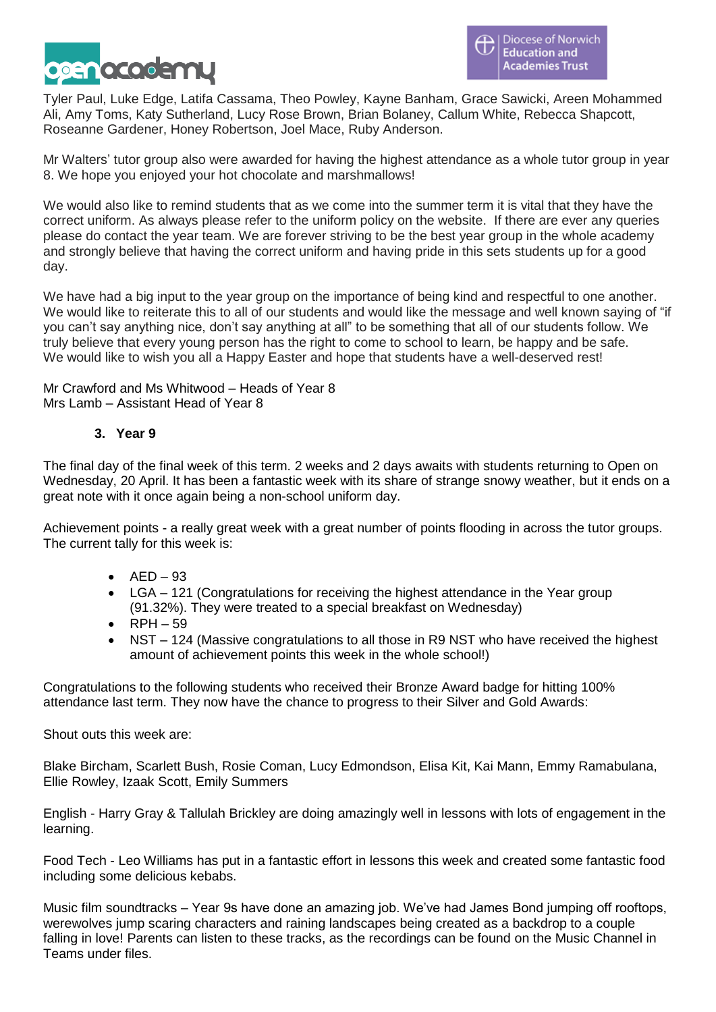

Tyler Paul, Luke Edge, Latifa Cassama, Theo Powley, Kayne Banham, Grace Sawicki, Areen Mohammed Ali, Amy Toms, Katy Sutherland, Lucy Rose Brown, Brian Bolaney, Callum White, Rebecca Shapcott, Roseanne Gardener, Honey Robertson, Joel Mace, Ruby Anderson.

Mr Walters' tutor group also were awarded for having the highest attendance as a whole tutor group in year 8. We hope you enjoyed your hot chocolate and marshmallows!

We would also like to remind students that as we come into the summer term it is vital that they have the correct uniform. As always please refer to the uniform policy on the website. If there are ever any queries please do contact the year team. We are forever striving to be the best year group in the whole academy and strongly believe that having the correct uniform and having pride in this sets students up for a good day.

We have had a big input to the year group on the importance of being kind and respectful to one another. We would like to reiterate this to all of our students and would like the message and well known saying of "if you can't say anything nice, don't say anything at all" to be something that all of our students follow. We truly believe that every young person has the right to come to school to learn, be happy and be safe. We would like to wish you all a Happy Easter and hope that students have a well-deserved rest!

Mr Crawford and Ms Whitwood – Heads of Year 8 Mrs Lamb – Assistant Head of Year 8

# **3. Year 9**

The final day of the final week of this term. 2 weeks and 2 days awaits with students returning to Open on Wednesday, 20 April. It has been a fantastic week with its share of strange snowy weather, but it ends on a great note with it once again being a non-school uniform day.

Achievement points - a really great week with a great number of points flooding in across the tutor groups. The current tally for this week is:

- $\bullet$  AED 93
- LGA 121 (Congratulations for receiving the highest attendance in the Year group (91.32%). They were treated to a special breakfast on Wednesday)
- $\bullet$  RPH  $-59$
- NST 124 (Massive congratulations to all those in R9 NST who have received the highest amount of achievement points this week in the whole school!)

Congratulations to the following students who received their Bronze Award badge for hitting 100% attendance last term. They now have the chance to progress to their Silver and Gold Awards:

Shout outs this week are:

Blake Bircham, Scarlett Bush, Rosie Coman, Lucy Edmondson, Elisa Kit, Kai Mann, Emmy Ramabulana, Ellie Rowley, Izaak Scott, Emily Summers

English - Harry Gray & Tallulah Brickley are doing amazingly well in lessons with lots of engagement in the learning.

Food Tech - Leo Williams has put in a fantastic effort in lessons this week and created some fantastic food including some delicious kebabs.

Music film soundtracks – Year 9s have done an amazing job. We've had James Bond jumping off rooftops, werewolves jump scaring characters and raining landscapes being created as a backdrop to a couple falling in love! Parents can listen to these tracks, as the recordings can be found on the Music Channel in Teams under files.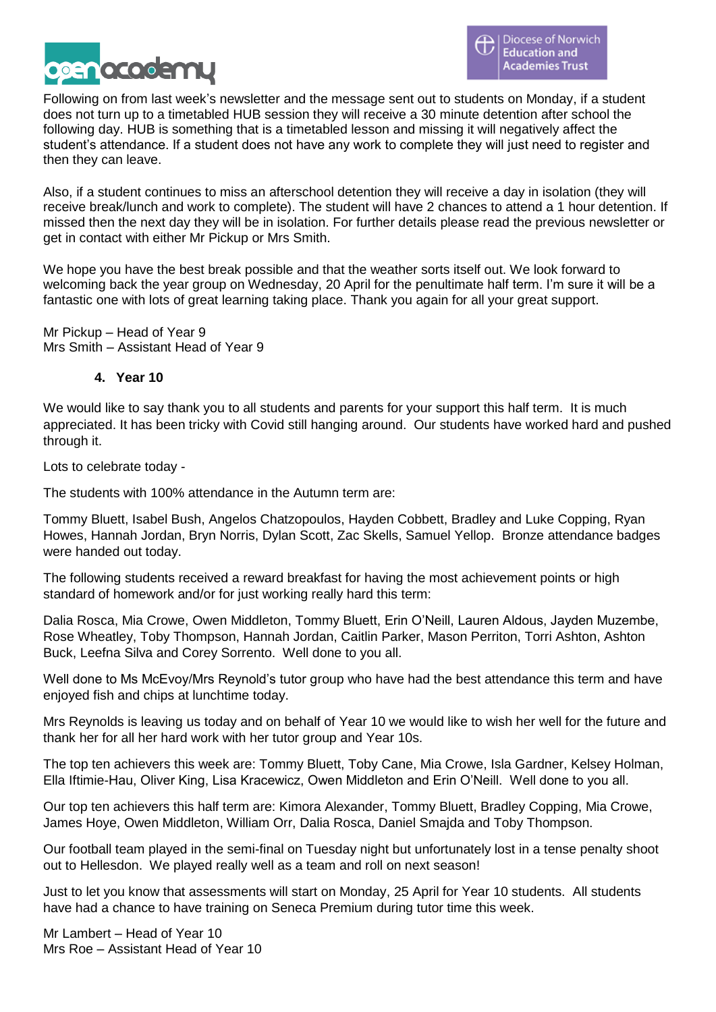

Following on from last week's newsletter and the message sent out to students on Monday, if a student does not turn up to a timetabled HUB session they will receive a 30 minute detention after school the following day. HUB is something that is a timetabled lesson and missing it will negatively affect the student's attendance. If a student does not have any work to complete they will just need to register and then they can leave.

Also, if a student continues to miss an afterschool detention they will receive a day in isolation (they will receive break/lunch and work to complete). The student will have 2 chances to attend a 1 hour detention. If missed then the next day they will be in isolation. For further details please read the previous newsletter or get in contact with either Mr Pickup or Mrs Smith.

We hope you have the best break possible and that the weather sorts itself out. We look forward to welcoming back the year group on Wednesday, 20 April for the penultimate half term. I'm sure it will be a fantastic one with lots of great learning taking place. Thank you again for all your great support.

Mr Pickup – Head of Year 9 Mrs Smith – Assistant Head of Year 9

## **4. Year 10**

We would like to say thank you to all students and parents for your support this half term. It is much appreciated. It has been tricky with Covid still hanging around. Our students have worked hard and pushed through it.

Lots to celebrate today -

The students with 100% attendance in the Autumn term are:

Tommy Bluett, Isabel Bush, Angelos Chatzopoulos, Hayden Cobbett, Bradley and Luke Copping, Ryan Howes, Hannah Jordan, Bryn Norris, Dylan Scott, Zac Skells, Samuel Yellop. Bronze attendance badges were handed out today.

The following students received a reward breakfast for having the most achievement points or high standard of homework and/or for just working really hard this term:

Dalia Rosca, Mia Crowe, Owen Middleton, Tommy Bluett, Erin O'Neill, Lauren Aldous, Jayden Muzembe, Rose Wheatley, Toby Thompson, Hannah Jordan, Caitlin Parker, Mason Perriton, Torri Ashton, Ashton Buck, Leefna Silva and Corey Sorrento. Well done to you all.

Well done to Ms McEvoy/Mrs Reynold's tutor group who have had the best attendance this term and have enjoyed fish and chips at lunchtime today.

Mrs Reynolds is leaving us today and on behalf of Year 10 we would like to wish her well for the future and thank her for all her hard work with her tutor group and Year 10s.

The top ten achievers this week are: Tommy Bluett, Toby Cane, Mia Crowe, Isla Gardner, Kelsey Holman, Ella Iftimie-Hau, Oliver King, Lisa Kracewicz, Owen Middleton and Erin O'Neill. Well done to you all.

Our top ten achievers this half term are: Kimora Alexander, Tommy Bluett, Bradley Copping, Mia Crowe, James Hoye, Owen Middleton, William Orr, Dalia Rosca, Daniel Smajda and Toby Thompson.

Our football team played in the semi-final on Tuesday night but unfortunately lost in a tense penalty shoot out to Hellesdon. We played really well as a team and roll on next season!

Just to let you know that assessments will start on Monday, 25 April for Year 10 students. All students have had a chance to have training on Seneca Premium during tutor time this week.

Mr Lambert – Head of Year 10 Mrs Roe – Assistant Head of Year 10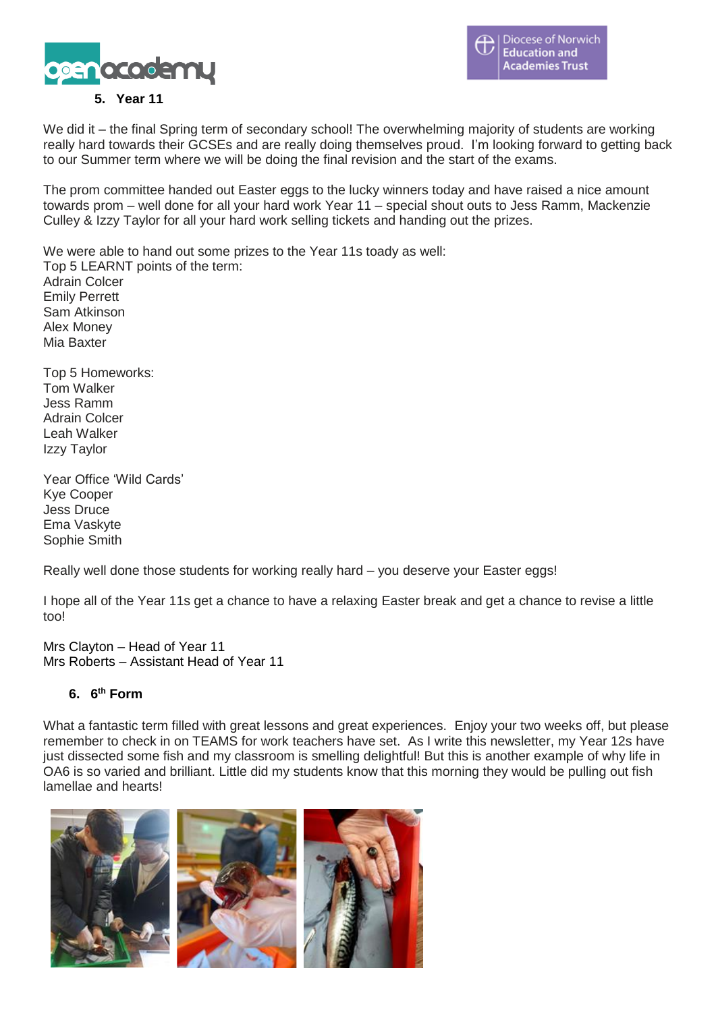



## **5. Year 11**

We did it – the final Spring term of secondary school! The overwhelming majority of students are working really hard towards their GCSEs and are really doing themselves proud. I'm looking forward to getting back to our Summer term where we will be doing the final revision and the start of the exams.

The prom committee handed out Easter eggs to the lucky winners today and have raised a nice amount towards prom – well done for all your hard work Year 11 – special shout outs to Jess Ramm, Mackenzie Culley & Izzy Taylor for all your hard work selling tickets and handing out the prizes.

We were able to hand out some prizes to the Year 11s toady as well: Top 5 LEARNT points of the term: Adrain Colcer Emily Perrett Sam Atkinson Alex Money Mia Baxter

Top 5 Homeworks: Tom Walker Jess Ramm Adrain Colcer Leah Walker Izzy Taylor

Year Office 'Wild Cards' Kye Cooper Jess Druce Ema Vaskyte Sophie Smith

Really well done those students for working really hard – you deserve your Easter eggs!

I hope all of the Year 11s get a chance to have a relaxing Easter break and get a chance to revise a little too!

Mrs Clayton – Head of Year 11 Mrs Roberts – Assistant Head of Year 11

### **6. 6 th Form**

What a fantastic term filled with great lessons and great experiences. Enjoy your two weeks off, but please remember to check in on TEAMS for work teachers have set. As I write this newsletter, my Year 12s have just dissected some fish and my classroom is smelling delightful! But this is another example of why life in OA6 is so varied and brilliant. Little did my students know that this morning they would be pulling out fish lamellae and hearts!

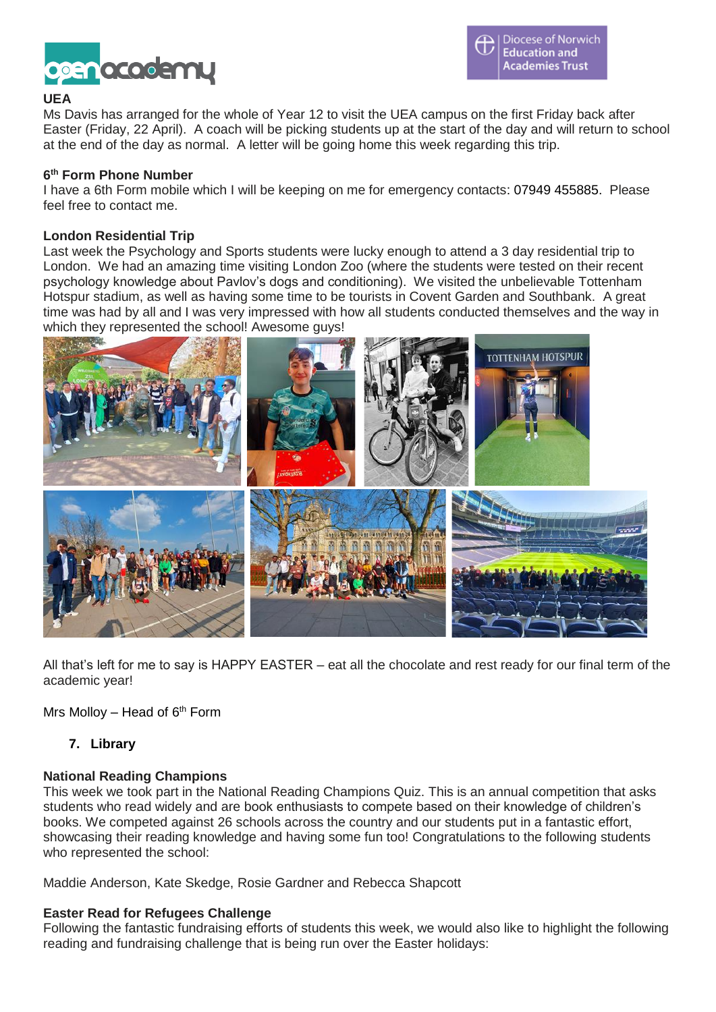

### **UEA**

Ms Davis has arranged for the whole of Year 12 to visit the UEA campus on the first Friday back after Easter (Friday, 22 April). A coach will be picking students up at the start of the day and will return to school at the end of the day as normal. A letter will be going home this week regarding this trip.

### **6 th Form Phone Number**

I have a 6th Form mobile which I will be keeping on me for emergency contacts: 07949 455885. Please feel free to contact me.

#### **London Residential Trip**

Last week the Psychology and Sports students were lucky enough to attend a 3 day residential trip to London. We had an amazing time visiting London Zoo (where the students were tested on their recent psychology knowledge about Pavlov's dogs and conditioning). We visited the unbelievable Tottenham Hotspur stadium, as well as having some time to be tourists in Covent Garden and Southbank. A great time was had by all and I was very impressed with how all students conducted themselves and the way in which they represented the school! Awesome guys!



All that's left for me to say is HAPPY EASTER – eat all the chocolate and rest ready for our final term of the academic year!

Mrs Mollov – Head of  $6<sup>th</sup>$  Form

**7. Library**

#### **National Reading Champions**

This week we took part in the National Reading Champions Quiz. This is an annual competition that asks students who read widely and are book enthusiasts to compete based on their knowledge of children's books. We competed against 26 schools across the country and our students put in a fantastic effort, showcasing their reading knowledge and having some fun too! Congratulations to the following students who represented the school:

Maddie Anderson, Kate Skedge, Rosie Gardner and Rebecca Shapcott

#### **Easter Read for Refugees Challenge**

Following the fantastic fundraising efforts of students this week, we would also like to highlight the following reading and fundraising challenge that is being run over the Easter holidays: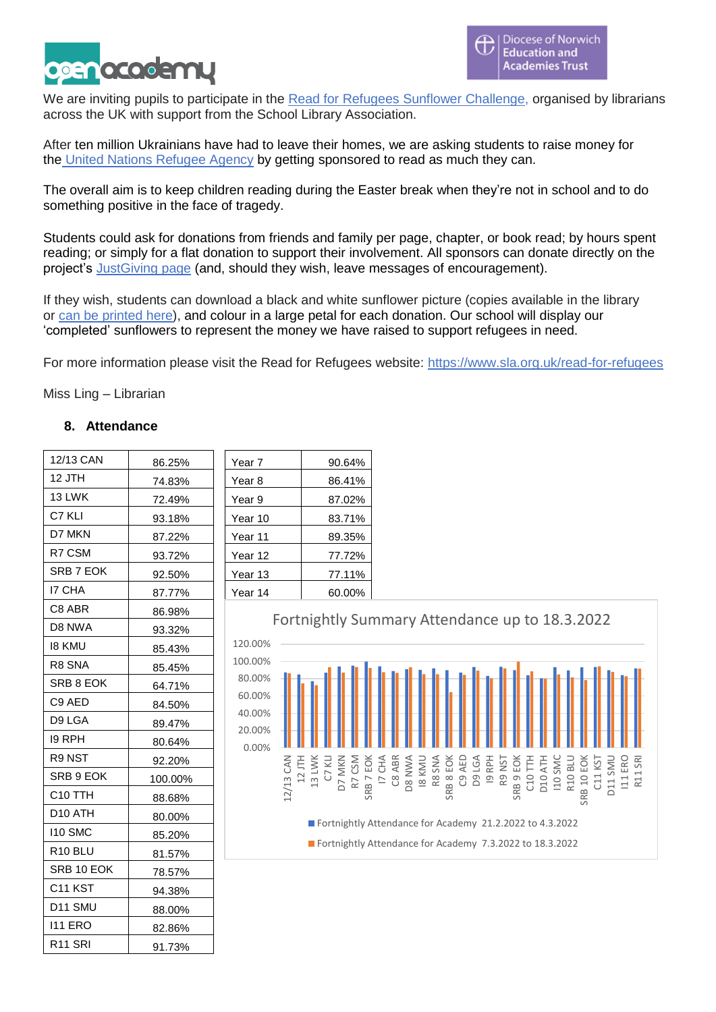

We are inviting pupils to participate in the Read for Refugees Sunflower [Challenge,](https://www.sla.org.uk/read-for-refugees) organised by librarians across the UK with support from the School Library Association.

After ten million Ukrainians have had to leave their homes, we are asking students to raise money for the United Nations [Refugee](https://www.unhcr.org/uk/) Agency by getting sponsored to read as much they can.

The overall aim is to keep children reading during the Easter break when they're not in school and to do something positive in the face of tragedy.

Students could ask for donations from friends and family per page, chapter, or book read; by hours spent reading; or simply for a flat donation to support their involvement. All sponsors can donate directly on the project's [JustGiving](https://www.justgiving.com/fundraising/sunflower-challenge) page (and, should they wish, leave messages of encouragement).

If they wish, students can download a black and white sunflower picture (copies available in the library or can be [printed](https://openacademyorguk-my.sharepoint.com/:b:/g/personal/donna_ling_open-academy_org_uk/EWI6vH4bjNFIsce661lWEd8BMzCKXVpCxGuYj6MH1xaGRQ?e=hipqoc) here), and colour in a large petal for each donation. Our school will display our 'completed' sunflowers to represent the money we have raised to support refugees in need.

For more information please visit the Read for Refugees website: <https://www.sla.org.uk/read-for-refugees>

Miss Ling – Librarian

## **8. Attendance**

| 12/13 CAN           | 86.25%  |
|---------------------|---------|
| 12 JTH              | 74.83%  |
| 13 LWK              | 72.49%  |
| C7 KLI              | 93.18%  |
| D7 MKN              | 87.22%  |
| R7 CSM              | 93.72%  |
| SRB 7 EOK           | 92.50%  |
| <b>I7 CHA</b>       | 87.77%  |
| C8 ABR              | 86.98%  |
| D8 NWA              | 93.32%  |
| 18 KMU              | 85.43%  |
| R8 SNA              | 85.45%  |
| SRB 8 EOK           | 64.71%  |
| C9 AED              | 84.50%  |
| D9 LGA              | 89.47%  |
| 19 RPH              | 80.64%  |
| R9 NST              | 92.20%  |
| SRB 9 EOK           | 100.00% |
| C <sub>10</sub> TTH | 88.68%  |
| D <sub>10</sub> ATH | 80.00%  |
| <b>110 SMC</b>      | 85.20%  |
| R10 BLU             | 81.57%  |
| SRB 10 EOK          | 78.57%  |
| C <sub>11</sub> KST | 94.38%  |
| D <sub>11</sub> SMU | 88.00%  |
| <b>111 ERO</b>      | 82.86%  |
| R <sub>11</sub> SRI | 91.73%  |

| Year 7  | 90.64% |
|---------|--------|
| Year 8  | 86.41% |
| Year 9  | 87.02% |
| Year 10 | 83.71% |
| Year 11 | 89.35% |
| Year 12 | 77.72% |
| Year 13 | 77.11% |
| Year 14 | 60.00% |